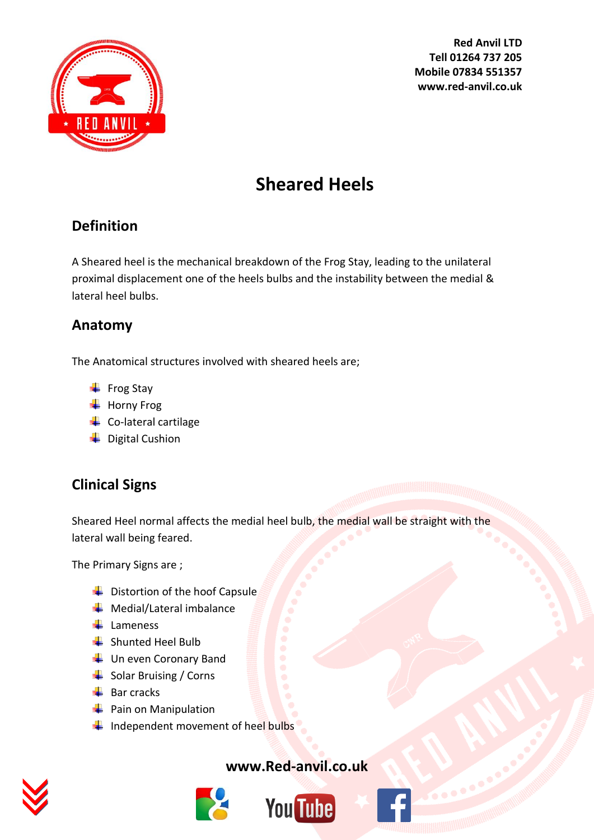

**Red Anvil LTD Tell 01264 737 205 Mobile 07834 551357 www.red-anvil.co.uk**

# **Sheared Heels**

# **Definition**

A Sheared heel is the mechanical breakdown of the Frog Stay, leading to the unilateral proximal displacement one of the heels bulbs and the instability between the medial & lateral heel bulbs.

## **Anatomy**

The Anatomical structures involved with sheared heels are;

- $\overline{\phantom{a}}$  Frog Stay
- $\overline{\phantom{a}}$  Horny Frog
- $\leftarrow$  Co-lateral cartilage
- $\downarrow$  Digital Cushion

# **Clinical Signs**

Sheared Heel normal affects the medial heel bulb, the medial wall be straight with the lateral wall being feared.

The Primary Signs are ;

- $\overline{\phantom{a}}$  Distortion of the hoof Capsule
- $\bigstar$  Medial/Lateral imbalance
- $\frac{1}{2}$  Lameness
- **↓** Shunted Heel Bulb
- $\downarrow$  Un even Coronary Band
- $\frac{1}{\sqrt{2}}$  Solar Bruising / Corns
- $\bigstar$  Bar cracks
- $\frac{1}{\sqrt{2}}$  Pain on Manipulation
- $\blacksquare$  Independent movement of heel bulbs



#### **[www.Red-anvil.co.uk](http://www.red-anvil.co.uk/)**





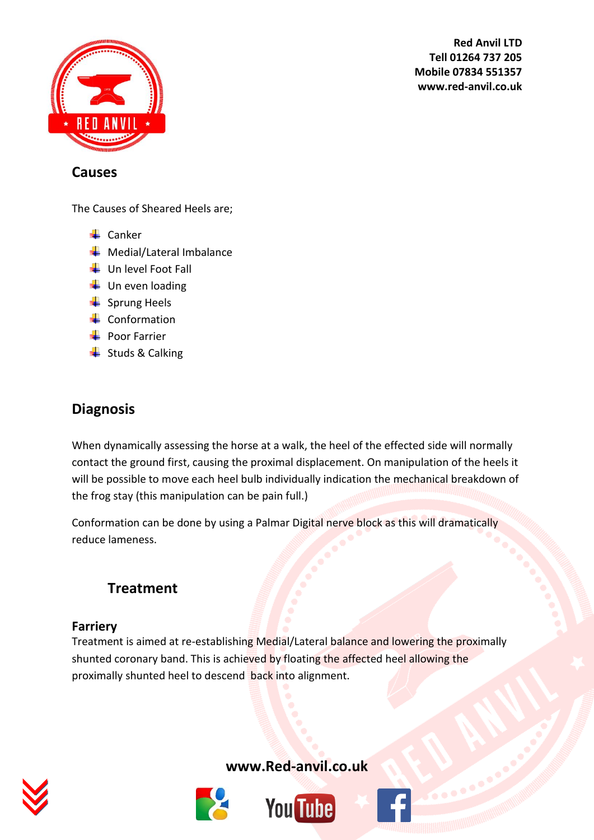

**Red Anvil LTD Tell 01264 737 205 Mobile 07834 551357 www.red-anvil.co.uk**

#### **Causes**

The Causes of Sheared Heels are;

- $\leftarrow$  Canker
- $\frac{1}{\sqrt{2}}$  Medial/Lateral Imbalance
- $\downarrow$  Un level Foot Fall
- $\downarrow$  Un even loading
- $\frac{1}{2}$  Sprung Heels
- $\leftarrow$  Conformation
- **Poor Farrier**
- $\overline{\phantom{a}}$  Studs & Calking

## **Diagnosis**

When dynamically assessing the horse at a walk, the heel of the effected side will normally contact the ground first, causing the proximal displacement. On manipulation of the heels it will be possible to move each heel bulb individually indication the mechanical breakdown of the frog stay (this manipulation can be pain full.)

Conformation can be done by using a Palmar Digital nerve block as this will dramatically reduce lameness.

## **Treatment**

#### **Farriery**

Treatment is aimed at re-establishing Medial/Lateral balance and lowering the proximally shunted coronary band. This is achieved by floating the affected heel allowing the proximally shunted heel to descend back into alignment.



**[www.Red-anvil.co.uk](http://www.red-anvil.co.uk/)**